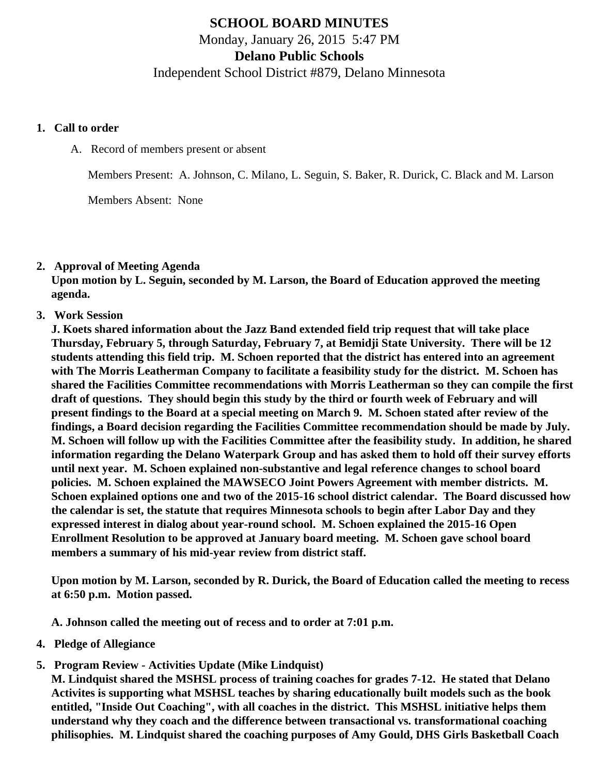# **SCHOOL BOARD MINUTES** Monday, January 26, 2015 5:47 PM **Delano Public Schools**

Independent School District #879, Delano Minnesota

#### **1. Call to order**

A. Record of members present or absent

Members Present: A. Johnson, C. Milano, L. Seguin, S. Baker, R. Durick, C. Black and M. Larson

Members Absent: None

#### **2. Approval of Meeting Agenda**

**Upon motion by L. Seguin, seconded by M. Larson, the Board of Education approved the meeting agenda.**

**3. Work Session**

**J. Koets shared information about the Jazz Band extended field trip request that will take place Thursday, February 5, through Saturday, February 7, at Bemidji State University. There will be 12 students attending this field trip. M. Schoen reported that the district has entered into an agreement with The Morris Leatherman Company to facilitate a feasibility study for the district. M. Schoen has shared the Facilities Committee recommendations with Morris Leatherman so they can compile the first draft of questions. They should begin this study by the third or fourth week of February and will present findings to the Board at a special meeting on March 9. M. Schoen stated after review of the findings, a Board decision regarding the Facilities Committee recommendation should be made by July. M. Schoen will follow up with the Facilities Committee after the feasibility study. In addition, he shared information regarding the Delano Waterpark Group and has asked them to hold off their survey efforts until next year. M. Schoen explained non-substantive and legal reference changes to school board policies. M. Schoen explained the MAWSECO Joint Powers Agreement with member districts. M. Schoen explained options one and two of the 2015-16 school district calendar. The Board discussed how the calendar is set, the statute that requires Minnesota schools to begin after Labor Day and they expressed interest in dialog about year-round school. M. Schoen explained the 2015-16 Open Enrollment Resolution to be approved at January board meeting. M. Schoen gave school board members a summary of his mid-year review from district staff.**

**Upon motion by M. Larson, seconded by R. Durick, the Board of Education called the meeting to recess at 6:50 p.m. Motion passed.**

**A. Johnson called the meeting out of recess and to order at 7:01 p.m.**

- **4. Pledge of Allegiance**
- **5. Program Review Activities Update (Mike Lindquist)**

**M. Lindquist shared the MSHSL process of training coaches for grades 7-12. He stated that Delano Activites is supporting what MSHSL teaches by sharing educationally built models such as the book entitled, "Inside Out Coaching", with all coaches in the district. This MSHSL initiative helps them understand why they coach and the difference between transactional vs. transformational coaching philisophies. M. Lindquist shared the coaching purposes of Amy Gould, DHS Girls Basketball Coach**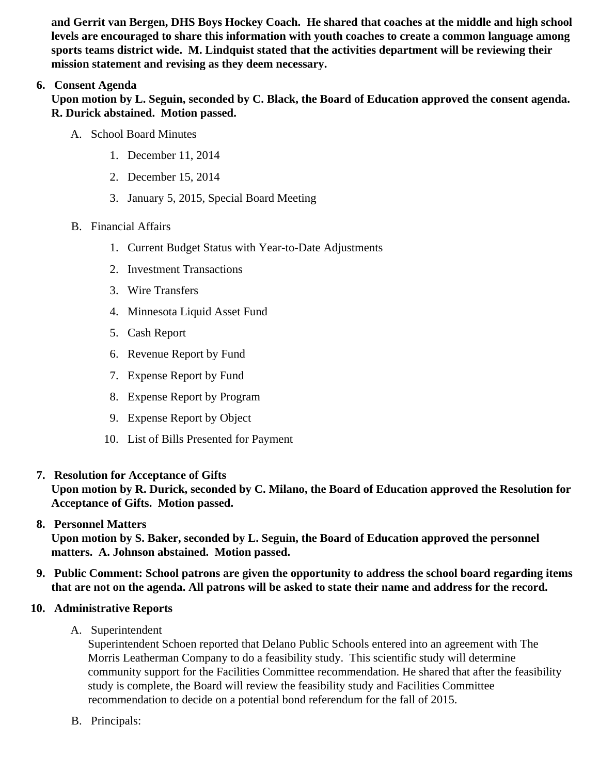and Gerrit van Bergen, DHS Boys Hockey Coach. He shared that coaches at the middle and high school levels are encouraged to share this information with youth coaches to create a common language among sports teams district wide. M. Lindquist stated that the activities department will be reviewing their mission statement and revising as they deem necessary.

# 6. Consent Agenda

Upon motion by L. Seguin, seconded by C. Black, the Board of Education approved the consent agenda. R. Durick abstained. Motion passed.

- A. School Board Minutes
	- 1. [December 11, 201](/docs/district/District_Forms/Special_Meeting_Minutes-12.11.14.pdf)4
	- 2. [December 15, 201](/docs/district/District_Forms/School_Board_Minutes_12.15.14.pdf)4
	- 3. [January 5, 2015, Special Board Mee](/docs/district/Business_Office/1.5.15_Special_Board_Meeting_Minutes.pdf)ting
- B. Financial Affairs
	- 1. [Current Budget Status with Year-to-Date Adjustm](/docs/district/Business_Office/Budget_Report_Jan_15.pdf)ents
	- 2. [Investment Transactio](/docs/district/Business_Office/Investment_schedule_14-15.pdf  )ns
	- 3. [Wire Transfer](/docs/district/Business_Office/Wire_Transfer.pdf  )s
	- 4. [Minnesota Liquid Asset Fun](/docs/district/Business_Office/Liquid_Asset_Fund_FY15.pdf  )d
	- 5. [Cash Repo](/docs/district/Business_Office/Cash_Report.pdf  )rt
	- 6. [Revenue Report by Fu](/docs/district/Business_Office/SCHOOL_BOARD_REPORTS_-_REVENUE_BY_FUND_TOTAL__(Date__6_2015).pdf)nd
	- 7. [Expense Report by Fu](/docs/district/Business_Office/SCHOOL_BOARD_REPORTS_-_EXP_BY_FUND_TOTAL__(Date__6_2015).pdf)nd
	- 8. [Expense Report by Progra](/docs/district/Business_Office/SCHOOL_BOARD_REPORTS_-_EXPENDITURES_BY_PROGRAM__(Date__6_2015).pdf)m
	- 9. [Expense Report by Obje](/docs/district/Business_Office/SCHOOL_BOARD_REPORTS_-_EXPENDITURES_BY_OBJECT__(Date__6_2015).pdf)ct
	- 10. [List of Bills Presented for Payme](/docs/district/Business_Office/Detail_of_Monthly_Bills_Paid.pdf)nt
- 7. [Resolution for Acceptance of Gifts](/docs/district/Business_Office/Resolution_for_Acceptance_of_Gifts_1.26.15.pdf)

Upon motion by R. Durick, seconded by C. Milano, the Board of Education approved the Resolution for Acceptance of Gifts. Motion passed.

8. [Personnel Matters](/docs/district/HR/January_26,_2015_Personnel_Items.pdf )

Upon motion by S. Baker, seconded by L. Seguin, the Board of Education approved the personnel matters. A. Johnson abstained. Motion passed.

- 9. Public Comment: School patrons are given the opportunity to address the school board regarding items that are not on the agenda. All patrons will be asked to state their name and address for the record.
- 10. Administrative Reports
	- A. Superintendent

Superintendent Schoen reported that Delano Public Schools entered into an agreement with The Morris Leatherman Company to do a feasibility study. This scientific study will determine community support for the Facilities Committee recommendation. He shared that after the feasibilit study is complete, the Board will review the feasibility study and Facilities Committee recommendation to decide on a potential bond referendum for the fall of 2015.

B. Principals: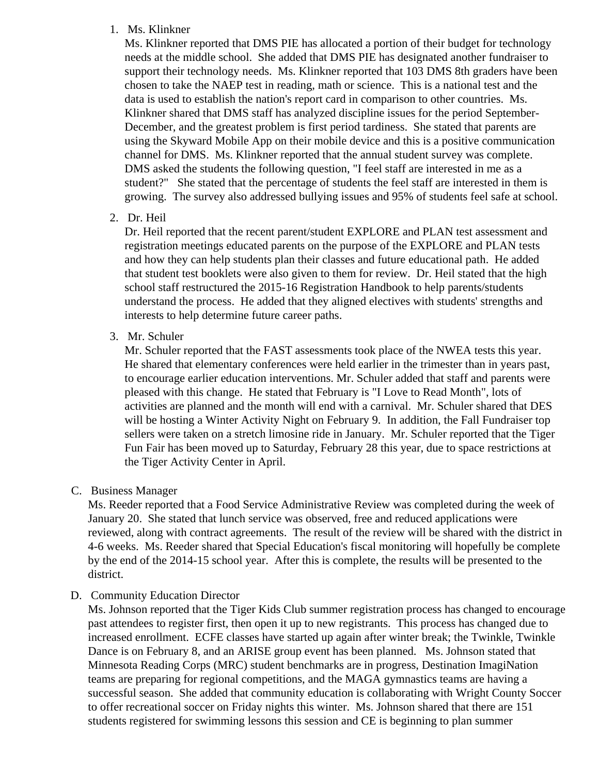#### 1. Ms. Klinkner

Ms. Klinkner reported that DMS PIE has allocated a portion of their budget for technology needs at the middle school. She added that DMS PIE has designated another fundraiser to support their technology needs. Ms. Klinkner reported that 103 DMS 8th graders have been chosen to take the NAEP test in reading, math or science. This is a national test and the data is used to establish the nation's report card in comparison to other countries. Ms. Klinkner shared that DMS staff has analyzed discipline issues for the period September-December, and the greatest problem is first period tardiness. She stated that parents are using the Skyward Mobile App on their mobile device and this is a positive communication channel for DMS. Ms. Klinkner reported that the annual student survey was complete. DMS asked the students the following question, "I feel staff are interested in me as a student?" She stated that the percentage of students the feel staff are interested in them is growing. The survey also addressed bullying issues and 95% of students feel safe at school.

2. Dr. Heil

Dr. Heil reported that the recent parent/student EXPLORE and PLAN test assessment and registration meetings educated parents on the purpose of the EXPLORE and PLAN tests and how they can help students plan their classes and future educational path. He added that student test booklets were also given to them for review. Dr. Heil stated that the high school staff restructured the 2015-16 Registration Handbook to help parents/students understand the process. He added that they aligned electives with students' strengths and interests to help determine future career paths.

3. Mr. Schuler

Mr. Schuler reported that the FAST assessments took place of the NWEA tests this year. He shared that elementary conferences were held earlier in the trimester than in years past, to encourage earlier education interventions. Mr. Schuler added that staff and parents were pleased with this change. He stated that February is "I Love to Read Month", lots of activities are planned and the month will end with a carnival. Mr. Schuler shared that DES will be hosting a Winter Activity Night on February 9. In addition, the Fall Fundraiser top sellers were taken on a stretch limosine ride in January. Mr. Schuler reported that the Tiger Fun Fair has been moved up to Saturday, February 28 this year, due to space restrictions at the Tiger Activity Center in April.

C. Business Manager

Ms. Reeder reported that a Food Service Administrative Review was completed during the week of January 20. She stated that lunch service was observed, free and reduced applications were reviewed, along with contract agreements. The result of the review will be shared with the district in 4-6 weeks. Ms. Reeder shared that Special Education's fiscal monitoring will hopefully be complete by the end of the 2014-15 school year. After this is complete, the results will be presented to the district.

D. Community Education Director

Ms. Johnson reported that the Tiger Kids Club summer registration process has changed to encourage past attendees to register first, then open it up to new registrants. This process has changed due to increased enrollment. ECFE classes have started up again after winter break; the Twinkle, Twinkle Dance is on February 8, and an ARISE group event has been planned. Ms. Johnson stated that Minnesota Reading Corps (MRC) student benchmarks are in progress, Destination ImagiNation teams are preparing for regional competitions, and the MAGA gymnastics teams are having a successful season. She added that community education is collaborating with Wright County Soccer to offer recreational soccer on Friday nights this winter. Ms. Johnson shared that there are 151 students registered for swimming lessons this session and CE is beginning to plan summer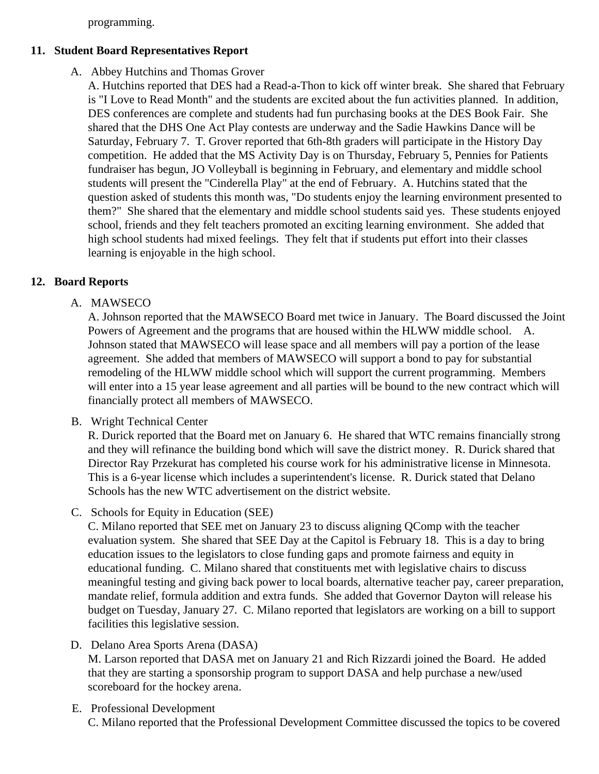programming.

## **11. Student Board Representatives Report**

# A. Abbey Hutchins and Thomas Grover

A. Hutchins reported that DES had a Read-a-Thon to kick off winter break. She shared that February is "I Love to Read Month" and the students are excited about the fun activities planned. In addition, DES conferences are complete and students had fun purchasing books at the DES Book Fair. She shared that the DHS One Act Play contests are underway and the Sadie Hawkins Dance will be Saturday, February 7. T. Grover reported that 6th-8th graders will participate in the History Day competition. He added that the MS Activity Day is on Thursday, February 5, Pennies for Patients fundraiser has begun, JO Volleyball is beginning in February, and elementary and middle school students will present the "Cinderella Play" at the end of February. A. Hutchins stated that the question asked of students this month was, "Do students enjoy the learning environment presented to them?" She shared that the elementary and middle school students said yes. These students enjoyed school, friends and they felt teachers promoted an exciting learning environment. She added that high school students had mixed feelings. They felt that if students put effort into their classes learning is enjoyable in the high school.

## **12. Board Reports**

## A. MAWSECO

A. Johnson reported that the MAWSECO Board met twice in January. The Board discussed the Joint Powers of Agreement and the programs that are housed within the HLWW middle school. A. Johnson stated that MAWSECO will lease space and all members will pay a portion of the lease agreement. She added that members of MAWSECO will support a bond to pay for substantial remodeling of the HLWW middle school which will support the current programming. Members will enter into a 15 year lease agreement and all parties will be bound to the new contract which will financially protect all members of MAWSECO.

#### B. Wright Technical Center

R. Durick reported that the Board met on January 6. He shared that WTC remains financially strong and they will refinance the building bond which will save the district money. R. Durick shared that Director Ray Przekurat has completed his course work for his administrative license in Minnesota. This is a 6-year license which includes a superintendent's license. R. Durick stated that Delano Schools has the new WTC advertisement on the district website.

C. Schools for Equity in Education (SEE)

C. Milano reported that SEE met on January 23 to discuss aligning QComp with the teacher evaluation system. She shared that SEE Day at the Capitol is February 18. This is a day to bring education issues to the legislators to close funding gaps and promote fairness and equity in educational funding. C. Milano shared that constituents met with legislative chairs to discuss meaningful testing and giving back power to local boards, alternative teacher pay, career preparation, mandate relief, formula addition and extra funds. She added that Governor Dayton will release his budget on Tuesday, January 27. C. Milano reported that legislators are working on a bill to support facilities this legislative session.

#### D. Delano Area Sports Arena (DASA)

M. Larson reported that DASA met on January 21 and Rich Rizzardi joined the Board. He added that they are starting a sponsorship program to support DASA and help purchase a new/used scoreboard for the hockey arena.

E. Professional Development C. Milano reported that the Professional Development Committee discussed the topics to be covered